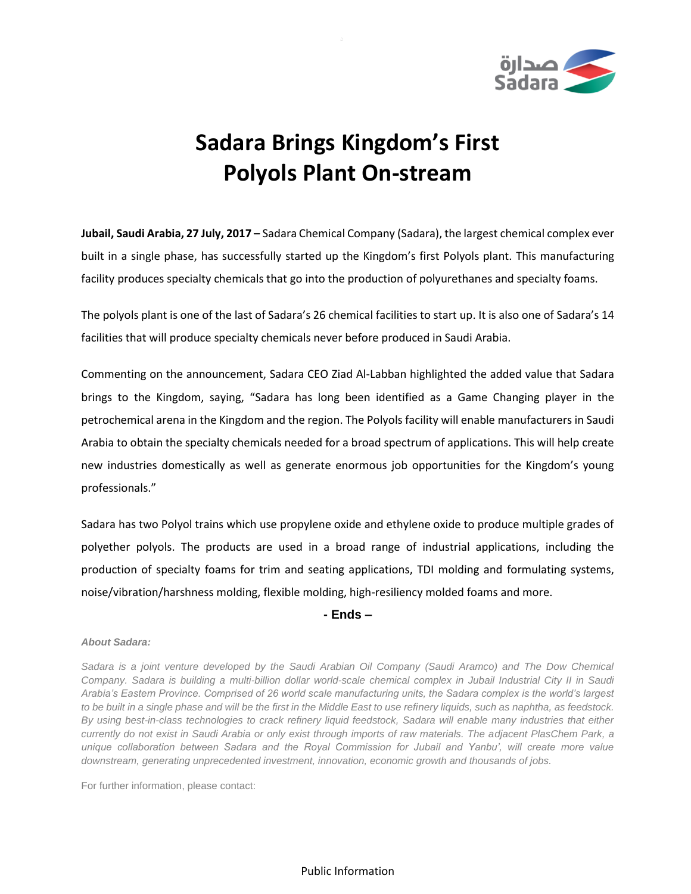

## **Sadara Brings Kingdom's First Polyols Plant On-stream**

**Jubail, Saudi Arabia, 27 July, 2017 –** Sadara Chemical Company (Sadara), the largest chemical complex ever built in a single phase, has successfully started up the Kingdom's first Polyols plant. This manufacturing facility produces specialty chemicals that go into the production of polyurethanes and specialty foams.

The polyols plant is one of the last of Sadara's 26 chemical facilities to start up. It is also one of Sadara's 14 facilities that will produce specialty chemicals never before produced in Saudi Arabia.

Commenting on the announcement, Sadara CEO Ziad Al-Labban highlighted the added value that Sadara brings to the Kingdom, saying, "Sadara has long been identified as a Game Changing player in the petrochemical arena in the Kingdom and the region. The Polyols facility will enable manufacturers in Saudi Arabia to obtain the specialty chemicals needed for a broad spectrum of applications. This will help create new industries domestically as well as generate enormous job opportunities for the Kingdom's young professionals."

Sadara has two Polyol trains which use propylene oxide and ethylene oxide to produce multiple grades of polyether polyols. The products are used in a broad range of industrial applications, including the production of specialty foams for trim and seating applications, TDI molding and formulating systems, noise/vibration/harshness molding, flexible molding, high-resiliency molded foams and more.

## **- Ends –**

## *About Sadara:*

*Sadara is a joint venture developed by the Saudi Arabian Oil Company (Saudi Aramco) and The Dow Chemical Company. Sadara is building a multi-billion dollar world-scale chemical complex in Jubail Industrial City II in Saudi Arabia's Eastern Province. Comprised of 26 world scale manufacturing units, the Sadara complex is the world's largest to be built in a single phase and will be the first in the Middle East to use refinery liquids, such as naphtha, as feedstock. By using best-in-class technologies to crack refinery liquid feedstock, Sadara will enable many industries that either currently do not exist in Saudi Arabia or only exist through imports of raw materials. The adjacent PlasChem Park, a unique collaboration between Sadara and the Royal Commission for Jubail and Yanbu', will create more value downstream, generating unprecedented investment, innovation, economic growth and thousands of jobs.* 

For further information, please contact:

Public Information